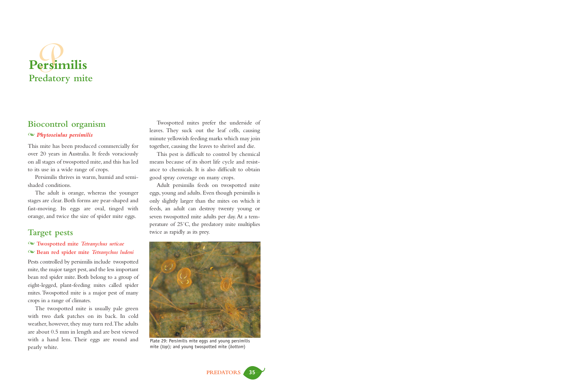

## **Biocontrol organism**

### - *Phytoseiulus persimilis*

This mite has been produced commercially for over 20 years in Australia. It feeds voraciously on all stages of twospotted mite, and this has led to its use in a wide range of crops.

Persimilis thrives in warm, humid and semishaded conditions.

The adult is orange, whereas the younger stages are clear. Both forms are pear-shaped and fast-moving. Its eggs are oval, tinged with orange, and twice the size of spider mite eggs.

## **Target pests**

## - **Twospotted mite** *Tetranychus urticae* - **Bean red spider mite** *Tetranychus ludeni*

Pests controlled by persimilis include twospotted mite, the major target pest, and the less important bean red spider mite. Both belong to a group of eight-legged, plant-feeding mites called spider mites.Twospotted mite is a major pest of many crops in a range of climates.

The twospotted mite is usually pale green with two dark patches on its back. In cold weather, however, they may turn red.The adults are about 0.5 mm in length and are best viewed with a hand lens. Their eggs are round and pearly white.

Twospotted mites prefer the underside of leaves. They suck out the leaf cells, causing minute yellowish feeding marks which may join together, causing the leaves to shrivel and die.

This pest is difficult to control by chemical means because of its short life cycle and resistance to chemicals. It is also difficult to obtain good spray coverage on many crops.

Adult persimilis feeds on twospotted mite eggs, young and adults. Even though persimilis is only slightly larger than the mites on which it feeds, an adult can destroy twenty young or seven twospotted mite adults per day. At a temperature of 25˚C, the predatory mite multiplies twice as rapidly as its prey.



Plate 29: Persimilis mite eggs and young persimilis mite (*top*); and young twospotted mite (*bottom*)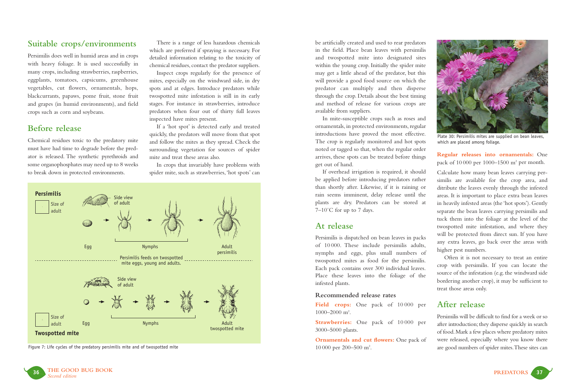# **Suitable crops/environments**

Persimilis does well in humid areas and in crops with heavy foliage. It is used successfully in many crops, including strawberries, raspberries, eggplants, tomatoes, capsicums, greenhouse vegetables, cut flowers, ornamentals, hops, blackcurrants, papaws, pome fruit, stone fruit and grapes (in humid environments), and field crops such as corn and soybeans.

## **Before release**

Chemical residues toxic to the predatory mite must have had time to degrade before the predator is released. The synthetic pyrethroids and some organophosphates may need up to 8 weeks to break down in protected environments.

There is a range of less hazardous chemicals which are preferred if spraying is necessary. For detailed information relating to the toxicity of chemical residues, contact the predator suppliers.

Inspect crops regularly for the presence of mites, especially on the windward side, in dry spots and at edges. Introduce predators while twospotted mite infestation is still in its early stages. For instance in strawberries, introduce predators when four out of thirty full leaves inspected have mites present.

If a 'hot spot' is detected early and treated quickly, the predators will move from that spot and follow the mites as they spread. Check the surrounding vegetation for sources of spider mite and treat these areas also.

In crops that invariably have problems with spider mite, such as strawberries,'hot spots' can



Figure 7: Life cycles of the predatory persimilis mite and of twospotted mite

be artificially created and used to rear predators in the field. Place bean leaves with persimilis and twospotted mite into designated sites within the young crop. Initially the spider mite may get a little ahead of the predator, but this will provide a good food source on which the predator can multiply and then disperse through the crop. Details about the best timing and method of release for various crops are available from suppliers.

In mite-susceptible crops such as roses and ornamentals, in protected environments, regular introductions have proved the most effective. The crop is regularly monitored and hot spots noted or tagged so that, when the regular order arrives, these spots can be treated before things get out of hand.

If overhead irrigation is required, it should be applied before introducing predators rather than shortly after. Likewise, if it is raining or rain seems imminent, delay release until the plants are dry. Predators can be stored at  $7-10^{\circ}$ C for up to 7 days.

## **At release**

Persimilis is dispatched on bean leaves in packs of 10 000. These include persimilis adults, nymphs and eggs, plus small numbers of twospotted mites as food for the persimilis. Each pack contains over 300 individual leaves. Place these leaves into the foliage of the infested plants.

### **Recommended release rates**

**Field crops:** One pack of 10 000 per 1000–2000 m2 .

**Strawberries:** One pack of 10 000 per 3000–5000 plants.

**Ornamentals and cut flowers:** One pack of 10 000 per 200–500 m2 .



Plate 30: Persimilis mites are supplied on bean leaves, which are placed among foliage.

**Regular releases into ornamentals:** One pack of 10 000 per 1000–1500 m2 per month.

Calculate how many bean leaves carrying persimilis are available for the crop area, and ditribute the leaves evenly through the infested areas. It is important to place extra bean leaves in heavily infested areas (the 'hot spots'). Gently separate the bean leaves carrying persimilis and tuck them into the foliage at the level of the twospotted mite infestation, and where they will be protected from direct sun. If you have any extra leaves, go back over the areas with higher pest numbers.

Often it is not necessary to treat an entire crop with persimilis. If you can locate the source of the infestation (e.g. the windward side bordering another crop), it may be sufficient to treat those areas only.

## **After release**

Persimilis will be difficult to find for a week or so after introduction; they disperse quickly in search of food.Mark a few places where predatory mites were released, especially where you know there are good numbers of spider mites.These sites can